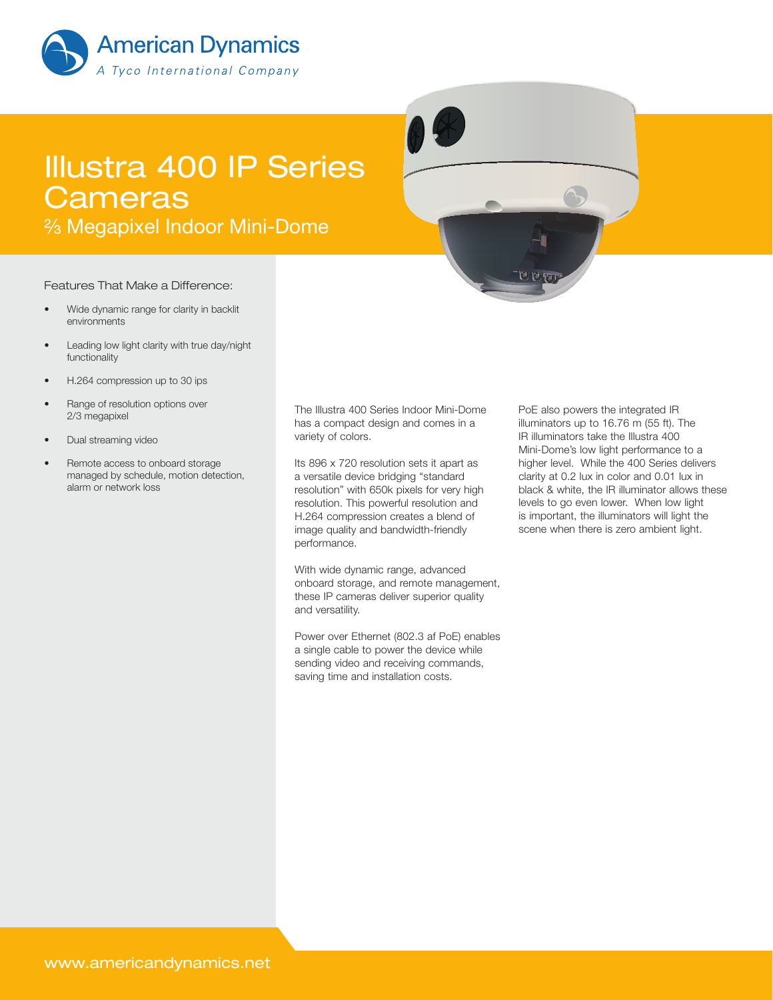

# Illustra 400 IP Series **Cameras**

<sup>2</sup>⁄<sub>3</sub> Megapixel Indoor Mini-Dome

#### Features That Make a Difference:

- Wide dynamic range for clarity in backlit environments
- Leading low light clarity with true day/night functionality
- H.264 compression up to 30 ips
- Range of resolution options over 2/3 megapixel
- Dual streaming video
- Remote access to onboard storage managed by schedule, motion detection, alarm or network loss

The Illustra 400 Series Indoor Mini-Dome has a compact design and comes in a variety of colors.

Its 896 x 720 resolution sets it apart as a versatile device bridging "standard resolution" with 650k pixels for very high resolution. This powerful resolution and H.264 compression creates a blend of image quality and bandwidth-friendly performance.

With wide dynamic range, advanced onboard storage, and remote management, these IP cameras deliver superior quality and versatility.

Power over Ethernet (802.3 af PoE) enables a single cable to power the device while sending video and receiving commands, saving time and installation costs.

PoE also powers the integrated IR illuminators up to 16.76 m (55 ft). The IR illuminators take the Illustra 400 Mini-Dome's low light performance to a higher level. While the 400 Series delivers clarity at 0.2 lux in color and 0.01 lux in black & white, the IR illuminator allows these levels to go even lower. When low light is important, the illuminators will light the scene when there is zero ambient light.

होटी <sup>पू</sup>र्वा प≤ने